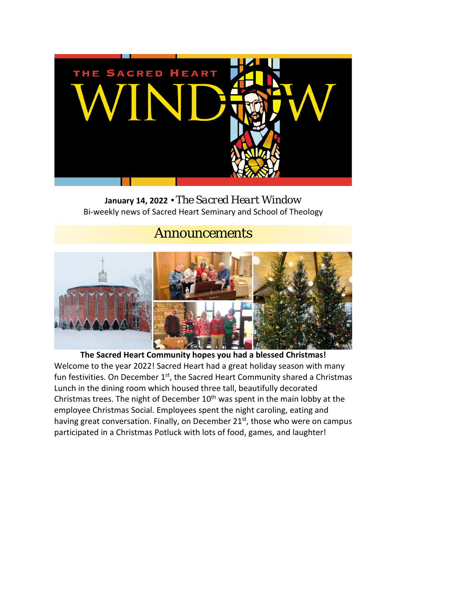

**January 14, 2022** • *The Sacred Heart Window* Bi-weekly news of Sacred Heart Seminary and School of Theology

## *Announcements*



**The Sacred Heart Community hopes you had a blessed Christmas!** Welcome to the year 2022! Sacred Heart had a great holiday season with many fun festivities. On December 1<sup>st</sup>, the Sacred Heart Community shared a Christmas Lunch in the dining room which housed three tall, beautifully decorated Christmas trees. The night of December  $10<sup>th</sup>$  was spent in the main lobby at the employee Christmas Social. Employees spent the night caroling, eating and having great conversation. Finally, on December 21<sup>st</sup>, those who were on campus participated in a Christmas Potluck with lots of food, games, and laughter!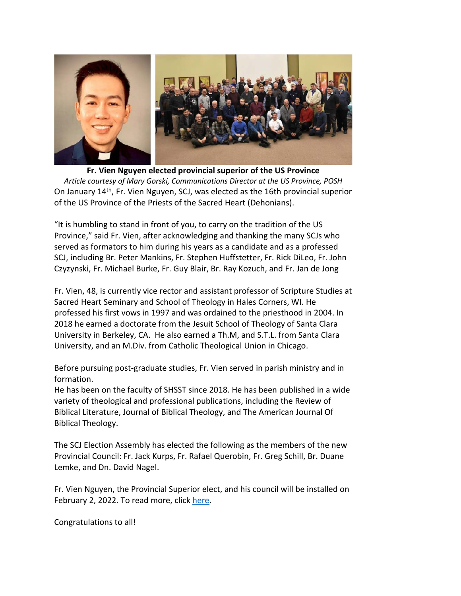

**Fr. Vien Nguyen elected provincial superior of the US Province** *Article courtesy of Mary Gorski, Communications Director at the US Province, POSH*  On January 14th, Fr. Vien Nguyen, SCJ, was elected as the 16th provincial superior of the US Province of the Priests of the Sacred Heart (Dehonians).

"It is humbling to stand in front of you, to carry on the tradition of the US Province," said Fr. Vien, after acknowledging and thanking the many SCJs who served as formators to him during his years as a candidate and as a professed SCJ, including Br. Peter Mankins, Fr. Stephen Huffstetter, Fr. Rick DiLeo, Fr. John Czyzynski, Fr. Michael Burke, Fr. Guy Blair, Br. Ray Kozuch, and Fr. Jan de Jong

Fr. Vien, 48, is currently vice rector and assistant professor of Scripture Studies at Sacred Heart Seminary and School of Theology in Hales Corners, WI. He professed his first vows in 1997 and was ordained to the priesthood in 2004. In 2018 he earned a doctorate from the Jesuit School of Theology of Santa Clara University in Berkeley, CA. He also earned a Th.M, and S.T.L. from Santa Clara University, and an M.Div. from Catholic Theological Union in Chicago.

Before pursuing post-graduate studies, Fr. Vien served in parish ministry and in formation.

He has been on the faculty of SHSST since 2018. He has been published in a wide variety of theological and professional publications, including the Review of Biblical Literature, Journal of Biblical Theology, and The American Journal Of Biblical Theology.

The SCJ Election Assembly has elected the following as the members of the new Provincial Council: Fr. Jack Kurps, Fr. Rafael Querobin, Fr. Greg Schill, Br. Duane Lemke, and Dn. David Nagel.

Fr. Vien Nguyen, the Provincial Superior elect, and his council will be installed on February 2, 2022. To read more, clic[k here.](https://dehoniansusa.org/feature-stories/a-new-provincial-superior/)

Congratulations to all!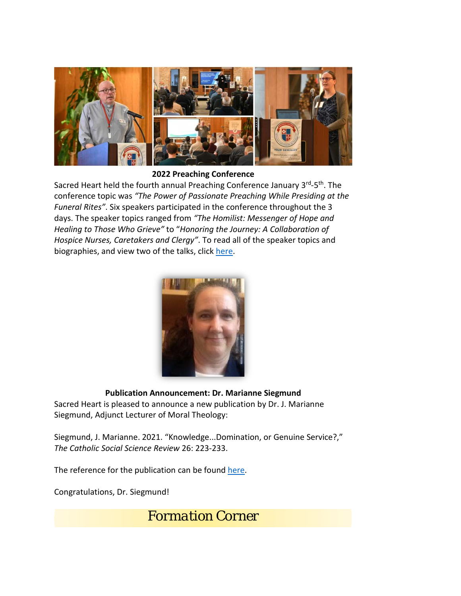

**2022 Preaching Conference**

Sacred Heart held the fourth annual Preaching Conference January 3rd-5<sup>th</sup>. The conference topic was *"The Power of Passionate Preaching While Presiding at the Funeral Rites"*. Six speakers participated in the conference throughout the 3 days. The speaker topics ranged from *"The Homilist: Messenger of Hope and Healing to Those Who Grieve"* to "*Honoring the Journey: A Collaboration of Hospice Nurses, Caretakers and Clergy"*. To read all of the speaker topics and biographies, and view two of the talks, click [here.](https://www.shsst.edu/preachingconf/)



## **Publication Announcement: Dr. Marianne Siegmund**

Sacred Heart is pleased to announce a new publication by Dr. J. Marianne Siegmund, Adjunct Lecturer of Moral Theology:

Siegmund, J. Marianne. 2021. "Knowledge...Domination, or Genuine Service?," *The Catholic Social Science Review* 26: 223-233.

The reference for the publication can be found [here.](https://www.pdcnet.org/cssr/content/cssr_2021_0026_0223_0233)

Congratulations, Dr. Siegmund!

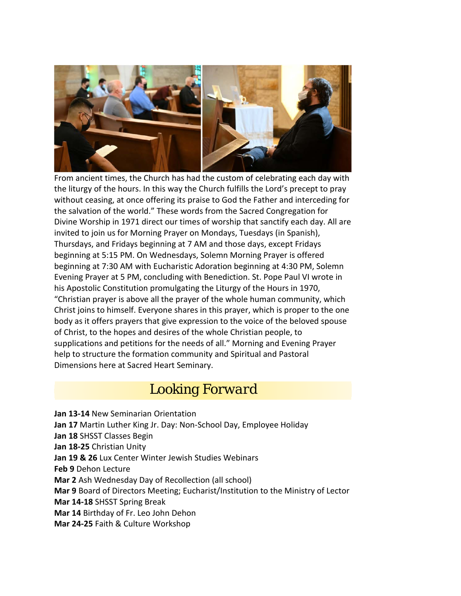

From ancient times, the Church has had the custom of celebrating each day with the liturgy of the hours. In this way the Church fulfills the Lord's precept to pray without ceasing, at once offering its praise to God the Father and interceding for the salvation of the world." These words from the Sacred Congregation for Divine Worship in 1971 direct our times of worship that sanctify each day. All are invited to join us for Morning Prayer on Mondays, Tuesdays (in Spanish), Thursdays, and Fridays beginning at 7 AM and those days, except Fridays beginning at 5:15 PM. On Wednesdays, Solemn Morning Prayer is offered beginning at 7:30 AM with Eucharistic Adoration beginning at 4:30 PM, Solemn Evening Prayer at 5 PM, concluding with Benediction. St. Pope Paul VI wrote in his Apostolic Constitution promulgating the Liturgy of the Hours in 1970, "Christian prayer is above all the prayer of the whole human community, which Christ joins to himself. Everyone shares in this prayer, which is proper to the one body as it offers prayers that give expression to the voice of the beloved spouse of Christ, to the hopes and desires of the whole Christian people, to supplications and petitions for the needs of all." Morning and Evening Prayer help to structure the formation community and Spiritual and Pastoral Dimensions here at Sacred Heart Seminary.

## *Looking Forward*

**Jan 13-14** New Seminarian Orientation **Jan 17** Martin Luther King Jr. Day: Non-School Day, Employee Holiday **Jan 18** SHSST Classes Begin **Jan 18-25** Christian Unity **Jan 19 & 26** Lux Center Winter Jewish Studies Webinars **Feb 9** Dehon Lecture **Mar 2** Ash Wednesday Day of Recollection (all school) **Mar 9** Board of Directors Meeting; Eucharist/Institution to the Ministry of Lector **Mar 14-18** SHSST Spring Break **Mar 14** Birthday of Fr. Leo John Dehon **Mar 24-25** Faith & Culture Workshop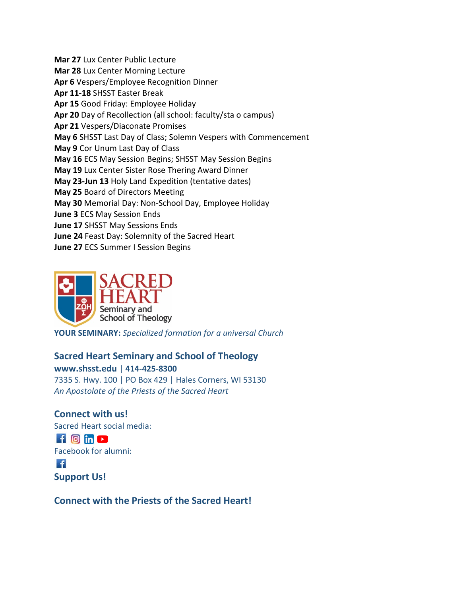**Mar 27** Lux Center Public Lecture **Mar 28** Lux Center Morning Lecture **Apr 6** Vespers/Employee Recognition Dinner **Apr 11-18** SHSST Easter Break **Apr 15** Good Friday: Employee Holiday **Apr 20** Day of Recollection (all school: faculty/sta o campus) **Apr 21** Vespers/Diaconate Promises **May 6** SHSST Last Day of Class; Solemn Vespers with Commencement **May 9** Cor Unum Last Day of Class **May 16** ECS May Session Begins; SHSST May Session Begins **May 19** Lux Center Sister Rose Thering Award Dinner **May 23-Jun 13** Holy Land Expedition (tentative dates) **May 25** Board of Directors Meeting **May 30** Memorial Day: Non-School Day, Employee Holiday **June 3** ECS May Session Ends **June 17** SHSST May Sessions Ends **June 24** Feast Day: Solemnity of the Sacred Heart **June 27** ECS Summer I Session Begins



**YOUR SEMINARY:** *Specialized formation for a universal Church*

## **Sacred Heart Seminary and School of Theology**

**[www.shsst.edu](http://www.shsst.edu/)** | **414-425-8300** 7335 S. Hwy. 100 | PO Box 429 | Hales Corners, WI 53130 *An Apostolate of [the Priests of the Sacred Heart](https://poshusa.org/)*

**Connect with us!** Sacred Heart social media:  $f$   $\odot$  in  $\odot$ Facebook for alumni:  $\cdot$   $\epsilon$ **[Support Us!](https://www.shsst.edu/support-us/)**

**Connect with the Priests of the Sacred Heart!**